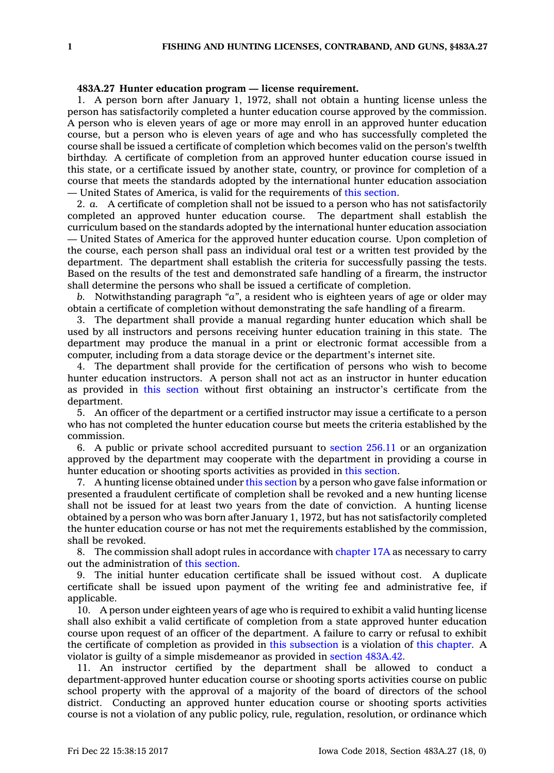## **483A.27 Hunter education program — license requirement.**

1. A person born after January 1, 1972, shall not obtain <sup>a</sup> hunting license unless the person has satisfactorily completed <sup>a</sup> hunter education course approved by the commission. A person who is eleven years of age or more may enroll in an approved hunter education course, but <sup>a</sup> person who is eleven years of age and who has successfully completed the course shall be issued <sup>a</sup> certificate of completion which becomes valid on the person's twelfth birthday. A certificate of completion from an approved hunter education course issued in this state, or <sup>a</sup> certificate issued by another state, country, or province for completion of <sup>a</sup> course that meets the standards adopted by the international hunter education association — United States of America, is valid for the requirements of this [section](https://www.legis.iowa.gov/docs/code/483A.27.pdf).

2. *a.* A certificate of completion shall not be issued to <sup>a</sup> person who has not satisfactorily completed an approved hunter education course. The department shall establish the curriculum based on the standards adopted by the international hunter education association — United States of America for the approved hunter education course. Upon completion of the course, each person shall pass an individual oral test or <sup>a</sup> written test provided by the department. The department shall establish the criteria for successfully passing the tests. Based on the results of the test and demonstrated safe handling of <sup>a</sup> firearm, the instructor shall determine the persons who shall be issued <sup>a</sup> certificate of completion.

*b.* Notwithstanding paragraph *"a"*, <sup>a</sup> resident who is eighteen years of age or older may obtain <sup>a</sup> certificate of completion without demonstrating the safe handling of <sup>a</sup> firearm.

3. The department shall provide <sup>a</sup> manual regarding hunter education which shall be used by all instructors and persons receiving hunter education training in this state. The department may produce the manual in <sup>a</sup> print or electronic format accessible from <sup>a</sup> computer, including from <sup>a</sup> data storage device or the department's internet site.

4. The department shall provide for the certification of persons who wish to become hunter education instructors. A person shall not act as an instructor in hunter education as provided in this [section](https://www.legis.iowa.gov/docs/code/483A.27.pdf) without first obtaining an instructor's certificate from the department.

5. An officer of the department or <sup>a</sup> certified instructor may issue <sup>a</sup> certificate to <sup>a</sup> person who has not completed the hunter education course but meets the criteria established by the commission.

6. A public or private school accredited pursuant to [section](https://www.legis.iowa.gov/docs/code/256.11.pdf) 256.11 or an organization approved by the department may cooperate with the department in providing <sup>a</sup> course in hunter education or shooting sports activities as provided in this [section](https://www.legis.iowa.gov/docs/code/483A.27.pdf).

7. A hunting license obtained under this [section](https://www.legis.iowa.gov/docs/code/483A.27.pdf) by <sup>a</sup> person who gave false information or presented <sup>a</sup> fraudulent certificate of completion shall be revoked and <sup>a</sup> new hunting license shall not be issued for at least two years from the date of conviction. A hunting license obtained by <sup>a</sup> person who was born after January 1, 1972, but has not satisfactorily completed the hunter education course or has not met the requirements established by the commission, shall be revoked.

8. The commission shall adopt rules in accordance with [chapter](https://www.legis.iowa.gov/docs/code//17A.pdf) 17A as necessary to carry out the administration of this [section](https://www.legis.iowa.gov/docs/code/483A.27.pdf).

9. The initial hunter education certificate shall be issued without cost. A duplicate certificate shall be issued upon payment of the writing fee and administrative fee, if applicable.

10. A person under eighteen years of age who is required to exhibit <sup>a</sup> valid hunting license shall also exhibit <sup>a</sup> valid certificate of completion from <sup>a</sup> state approved hunter education course upon request of an officer of the department. A failure to carry or refusal to exhibit the certificate of completion as provided in this [subsection](https://www.legis.iowa.gov/docs/code/483A.27.pdf) is <sup>a</sup> violation of this [chapter](https://www.legis.iowa.gov/docs/code//483A.pdf). A violator is guilty of <sup>a</sup> simple misdemeanor as provided in section [483A.42](https://www.legis.iowa.gov/docs/code/483A.42.pdf).

11. An instructor certified by the department shall be allowed to conduct <sup>a</sup> department-approved hunter education course or shooting sports activities course on public school property with the approval of <sup>a</sup> majority of the board of directors of the school district. Conducting an approved hunter education course or shooting sports activities course is not <sup>a</sup> violation of any public policy, rule, regulation, resolution, or ordinance which